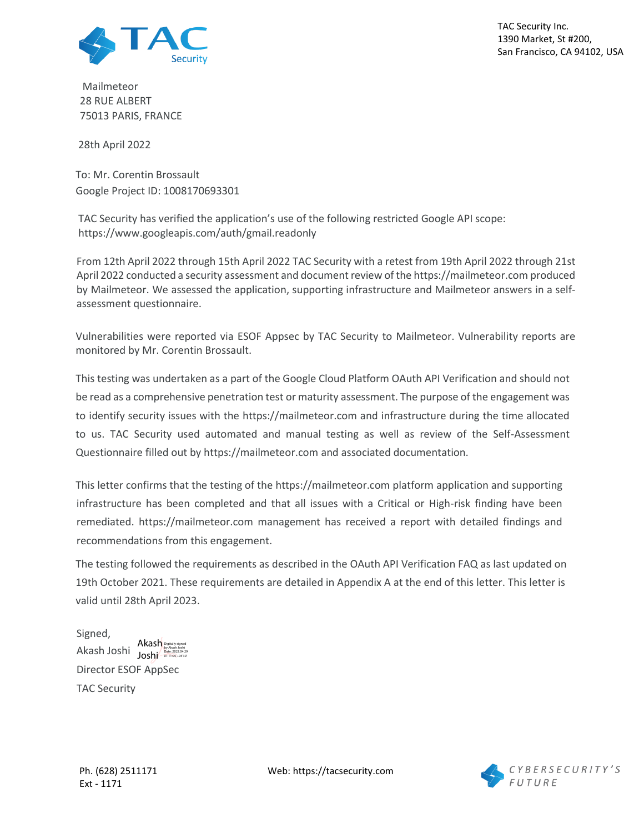

TAC Security Inc. 1390 Market, St #200, San Francisco, CA 94102, USA

Mailmeteor 28 RUE ALBERT 75013 PARIS, FRANCE

28th April 2022

To: Mr. Corentin Brossault Google Project ID: 1008170693301

 TAC Security has verified the application's use of the following restricted Google API scope: https://www.googleapis.com/auth/gmail.readonly

From 12th April 2022 through 15th April 2022 TAC Security with a retest from 19th April 2022 through 21st April 2022 conducted a security assessment and document review of th[e https://mailmeteor.com](https://mailmeteor.com/) produced by Mailmeteor. We assessed the application, supporting infrastructure and Mailmeteor answers in a selfassessment questionnaire.

Vulnerabilities were reported via ESOF Appsec by TAC Security to Mailmeteor. Vulnerability reports are monitored by Mr. Corentin Brossault.

This testing was undertaken as a part of the Google Cloud Platform OAuth API Verification and should not be read as a comprehensive penetration test or maturity assessment. The purpose of the engagement was to identify security issues with the [https://mailmeteor.com](https://mailmeteor.com/) and infrastructure during the time allocated to us. TAC Security used automated and manual testing as well as review of the Self-Assessment Questionnaire filled out by [https://mailmeteor.com](https://mailmeteor.com/) and associated documentation.

This letter confirms that the testing of the [https://mailmeteor.com](https://mailmeteor.com/) platform application and supporting infrastructure has been completed and that all issues with a Critical or High-risk finding have been remediated. [https://mailmeteor.com](https://mailmeteor.com/) management has received a report with detailed findings and recommendations from this engagement.

The testing followed the requirements as described in the OAuth API Verification FAQ as last updated on 19th October 2021. These requirements are detailed in Appendix A at the end of this letter. This letter is valid until 28th April 2023.

Signed, Akash Joshi Joshi Date: 2022.04.29 Director ESOF AppSec TAC Security Akash Digitally signed

Web: https://tacsecurity.com

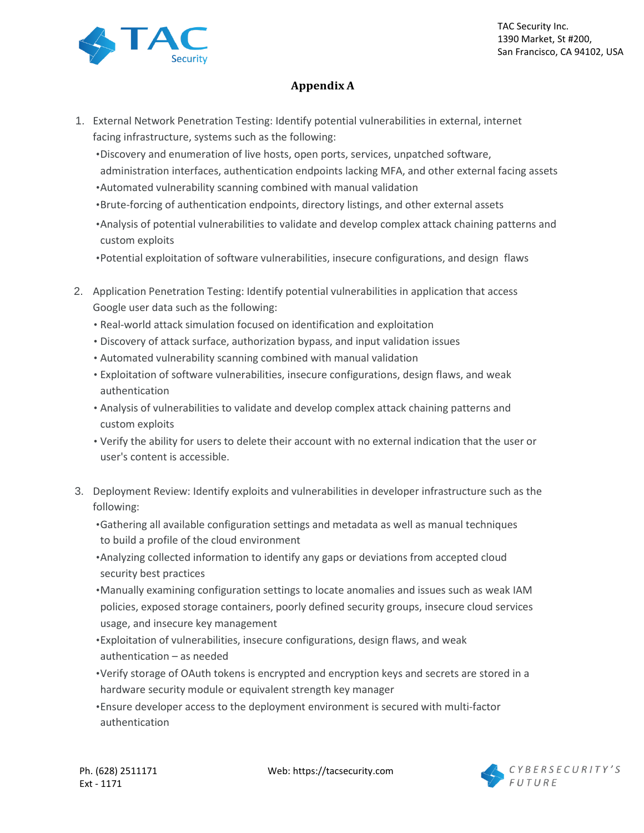

TAC Security Inc. 1390 Market, St #200, San Francisco, CA 94102, USA

## **Appendix A**

- 1. External Network Penetration Testing: Identify potential vulnerabilities in external, internet facing infrastructure, systems such as the following:
	- •Discovery and enumeration of live hosts, open ports, services, unpatched software, administration interfaces, authentication endpoints lacking MFA, and other external facing assets
	- •Automated vulnerability scanning combined with manual validation
	- •Brute-forcing of authentication endpoints, directory listings, and other external assets
	- •Analysis of potential vulnerabilities to validate and develop complex attack chaining patterns and custom exploits
	- •Potential exploitation of software vulnerabilities, insecure configurations, and design flaws
- 2. Application Penetration Testing: Identify potential vulnerabilities in application that access Google user data such as the following:
	- Real-world attack simulation focused on identification and exploitation
	- Discovery of attack surface, authorization bypass, and input validation issues
	- Automated vulnerability scanning combined with manual validation
	- Exploitation of software vulnerabilities, insecure configurations, design flaws, and weak authentication
	- Analysis of vulnerabilities to validate and develop complex attack chaining patterns and custom exploits
	- Verify the ability for users to delete their account with no external indication that the user or user's content is accessible.
- 3. Deployment Review: Identify exploits and vulnerabilities in developer infrastructure such as the following:
	- •Gathering all available configuration settings and metadata as well as manual techniques to build a profile of the cloud environment
	- •Analyzing collected information to identify any gaps or deviations from accepted cloud security best practices
	- •Manually examining configuration settings to locate anomalies and issues such as weak IAM policies, exposed storage containers, poorly defined security groups, insecure cloud services usage, and insecure key management
	- •Exploitation of vulnerabilities, insecure configurations, design flaws, and weak authentication – as needed
	- •Verify storage of OAuth tokens is encrypted and encryption keys and secrets are stored in a hardware security module or equivalent strength key manager
	- •Ensure developer access to the deployment environment is secured with multi-factor authentication

Web: https://tacsecurity.com